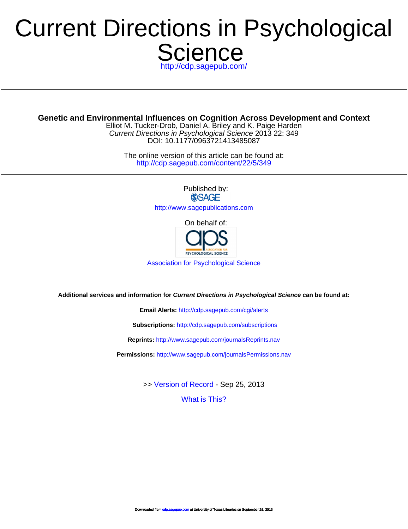# **Science** p://cdp.sagepub.com/ Current Directions in Psychological

**Genetic and Environmental Influences on Cognition Across Development and Context**

DOI: 10.1177/0963721413485087 Current Directions in Psychological Science 2013 22: 349 Elliot M. Tucker-Drob, Daniel A. Briley and K. Paige Harden

<http://cdp.sagepub.com/content/22/5/349> The online version of this article can be found at:

> Published by:<br>
> SAGE <http://www.sagepublications.com>

> > On behalf of:



[Association for Psychological Science](http://www.psychologicalscience.org/)

**Additional services and information for Current Directions in Psychological Science can be found at:**

**Email Alerts:** <http://cdp.sagepub.com/cgi/alerts>

**Subscriptions:** <http://cdp.sagepub.com/subscriptions>

**Reprints:** <http://www.sagepub.com/journalsReprints.nav>

**Permissions:** <http://www.sagepub.com/journalsPermissions.nav>

>> [Version of Record -](http://cdp.sagepub.com/content/22/5/349.full.pdf) Sep 25, 2013

[What is This?](http://online.sagepub.com/site/sphelp/vorhelp.xhtml)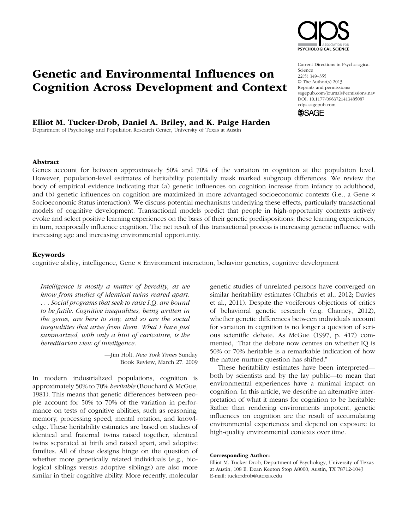# Genetic and Environmental Influences on Cognition Across Development and Context

Current Directions in Psychological Science 22(5) 349–355 © The Author(s) 2013 Reprints and permissions: sagepub.com/journalsPermissions.nav DOI: 10.1177/0963721413485087 cdps.sagepub.com **SSAGE** 

Elliot M. Tucker-Drob, Daniel A. Briley, and K. Paige Harden

Department of Psychology and Population Research Center, University of Texas at Austin

#### Abstract

Genes account for between approximately 50% and 70% of the variation in cognition at the population level. However, population-level estimates of heritability potentially mask marked subgroup differences. We review the body of empirical evidence indicating that (a) genetic influences on cognition increase from infancy to adulthood, and (b) genetic influences on cognition are maximized in more advantaged socioeconomic contexts (i.e., a Gene × Socioeconomic Status interaction). We discuss potential mechanisms underlying these effects, particularly transactional models of cognitive development. Transactional models predict that people in high-opportunity contexts actively evoke and select positive learning experiences on the basis of their genetic predispositions; these learning experiences, in turn, reciprocally influence cognition. The net result of this transactional process is increasing genetic influence with increasing age and increasing environmental opportunity.

#### Keywords

cognitive ability, intelligence, Gene × Environment interaction, behavior genetics, cognitive development

*Intelligence is mostly a matter of heredity, as we know from studies of identical twins reared apart. . . . Social programs that seek to raise I.Q. are bound to be futile. Cognitive inequalities, being written in the genes, are here to stay, and so are the social inequalities that arise from them. What I have just summarized, with only a hint of caricature, is the hereditarian view of intelligence.*

> —Jim Holt, *New York Times* Sunday Book Review, March 27, 2009

In modern industrialized populations, cognition is approximately 50% to 70% *heritable* (Bouchard & McGue, 1981). This means that genetic differences between people account for 50% to 70% of the variation in performance on tests of cognitive abilities, such as reasoning, memory, processing speed, mental rotation, and knowledge. These heritability estimates are based on studies of identical and fraternal twins raised together, identical twins separated at birth and raised apart, and adoptive families. All of these designs hinge on the question of whether more genetically related individuals (e.g., biological siblings versus adoptive siblings) are also more similar in their cognitive ability. More recently, molecular

genetic studies of unrelated persons have converged on similar heritability estimates (Chabris et al., 2012; Davies et al., 2011). Despite the vociferous objections of critics of behavioral genetic research (e.g. Charney, 2012), whether genetic differences between individuals account for variation in cognition is no longer a question of serious scientific debate. As McGue (1997, p. 417) commented, "That the debate now centres on whether IQ is 50% or 70% heritable is a remarkable indication of how the nature-nurture question has shifted."

These heritability estimates have been interpreted both by scientists and by the lay public—to mean that environmental experiences have a minimal impact on cognition. In this article, we describe an alternative interpretation of what it means for cognition to be heritable: Rather than rendering environments impotent, genetic influences on cognition are the result of accumulating environmental experiences and depend on exposure to high-quality environmental contexts over time.

#### Corresponding Author:



Elliot M. Tucker-Drob, Department of Psychology, University of Texas at Austin, 108 E. Dean Keeton Stop A8000, Austin, TX 78712-1043 E-mail: tuckerdrob@utexas.edu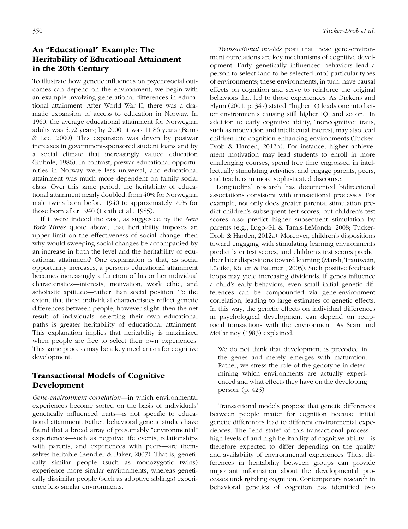# An "Educational" Example: The Heritability of Educational Attainment in the 20th Century

To illustrate how genetic influences on psychosocial outcomes can depend on the environment, we begin with an example involving generational differences in educational attainment. After World War II, there was a dramatic expansion of access to education in Norway. In 1960, the average educational attainment for Norwegian adults was 5.92 years; by 2000, it was 11.86 years (Barro & Lee, 2000). This expansion was driven by postwar increases in government-sponsored student loans and by a social climate that increasingly valued education (Kuhnle, 1986). In contrast, prewar educational opportunities in Norway were less universal, and educational attainment was much more dependent on family social class. Over this same period, the heritability of educational attainment nearly doubled, from 40% for Norwegian male twins born before 1940 to approximately 70% for those born after 1940 (Heath et al., 1985).

If it were indeed the case, as suggested by the *New York Times* quote above, that heritability imposes an upper limit on the effectiveness of social change, then why would sweeping social changes be accompanied by an increase in both the level and the heritability of educational attainment? One explanation is that, as social opportunity increases, a person's educational attainment becomes increasingly a function of his or her individual characteristics—interests, motivation, work ethic, and scholastic aptitude—rather than social position. To the extent that these individual characteristics reflect genetic differences between people, however slight, then the net result of individuals' selecting their own educational paths is greater heritability of educational attainment. This explanation implies that heritability is maximized when people are free to select their own experiences. This same process may be a key mechanism for cognitive development.

# Transactional Models of Cognitive Development

*Gene-environment correlation*—in which environmental experiences become sorted on the basis of individuals' genetically influenced traits—is not specific to educational attainment. Rather, behavioral genetic studies have found that a broad array of presumably "environmental" experiences—such as negative life events, relationships with parents, and experiences with peers—are themselves heritable (Kendler & Baker, 2007). That is, genetically similar people (such as monozygotic twins) experience more similar environments, whereas genetically dissimilar people (such as adoptive siblings) experience less similar environments.

*Transactional models* posit that these gene-environment correlations are key mechanisms of cognitive development. Early genetically influenced behaviors lead a person to select (and to be selected into) particular types of environments; these environments, in turn, have causal effects on cognition and serve to reinforce the original behaviors that led to those experiences. As Dickens and Flynn (2001, p. 347) stated, "higher IQ leads one into better environments causing still higher IQ, and so on." In addition to early cognitive ability, "noncognitive" traits, such as motivation and intellectual interest, may also lead children into cognition-enhancing environments (Tucker-Drob & Harden, 2012b). For instance, higher achievement motivation may lead students to enroll in more challenging courses, spend free time engrossed in intellectually stimulating activities, and engage parents, peers, and teachers in more sophisticated discourse.

Longitudinal research has documented bidirectional associations consistent with transactional processes. For example, not only does greater parental stimulation predict children's subsequent test scores, but children's test scores also predict higher subsequent stimulation by parents (e.g., Lugo-Gil & Tamis-LeMonda, 2008; Tucker-Drob & Harden, 2012a). Moreover, children's dispositions toward engaging with stimulating learning environments predict later test scores, and children's test scores predict their later dispositions toward learning (Marsh, Trautwein, Lüdtke, Köller, & Baumert, 2005). Such positive feedback loops may yield increasing dividends. If genes influence a child's early behaviors, even small initial genetic differences can be compounded via gene-environment correlation, leading to large estimates of genetic effects. In this way, the genetic effects on individual differences in psychological development can depend on reciprocal transactions with the environment. As Scarr and McCartney (1983) explained,

We do not think that development is precoded in the genes and merely emerges with maturation. Rather, we stress the role of the genotype in determining which environments are actually experienced and what effects they have on the developing person. (p. 425)

Transactional models propose that genetic differences between people matter for cognition because initial genetic differences lead to different environmental experiences. The "end state" of this transactional process high levels of and high heritability of cognitive ability—is therefore expected to differ depending on the quality and availability of environmental experiences. Thus, differences in heritability between groups can provide important information about the developmental processes undergirding cognition. Contemporary research in behavioral genetics of cognition has identified two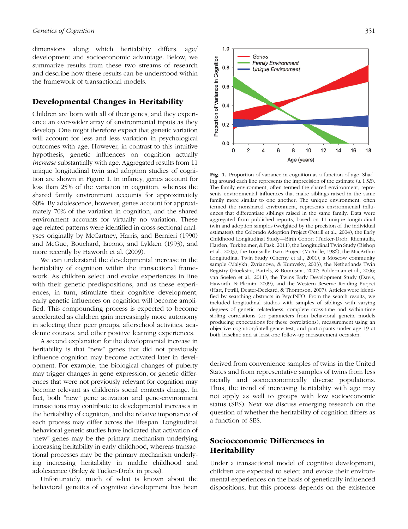dimensions along which heritability differs: age/ development and socioeconomic advantage. Below, we summarize results from these two streams of research and describe how these results can be understood within the framework of transactional models.

# Developmental Changes in Heritability

Children are born with all of their genes, and they experience an ever-wider array of environmental inputs as they develop. One might therefore expect that genetic variation will account for less and less variation in psychological outcomes with age. However, in contrast to this intuitive hypothesis, genetic influences on cognition actually *increase* substantially with age. Aggregated results from 11 unique longitudinal twin and adoption studies of cognition are shown in Figure 1. In infancy, genes account for less than 25% of the variation in cognition, whereas the shared family environment accounts for approximately 60%. By adolescence, however, genes account for approximately 70% of the variation in cognition, and the shared environment accounts for virtually no variation. These age-related patterns were identified in cross-sectional analyses originally by McCartney, Harris, and Bernieri (1990) and McGue, Bouchard, Iacono, and Lykken (1993), and more recently by Haworth et al. (2009).

We can understand the developmental increase in the heritability of cognition within the transactional framework. As children select and evoke experiences in line with their genetic predispositions, and as these experiences, in turn, stimulate their cognitive development, early genetic influences on cognition will become amplified. This compounding process is expected to become accelerated as children gain increasingly more autonomy in selecting their peer groups, afterschool activities, academic courses, and other positive learning experiences.

A second explanation for the developmental increase in heritability is that "new" genes that did not previously influence cognition may become activated later in development. For example, the biological changes of puberty may trigger changes in gene expression, or genetic differences that were not previously relevant for cognition may become relevant as children's social contexts change. In fact, both "new" gene activation and gene-environment transactions may contribute to developmental increases in the heritability of cognition, and the relative importance of each process may differ across the lifespan. Longitudinal behavioral genetic studies have indicated that activation of "new" genes may be the primary mechanism underlying increasing heritability in early childhood, whereas transactional processes may be the primary mechanism underlying increasing heritability in middle childhood and adolescence (Briley & Tucker-Drob, in press).

Unfortunately, much of what is known about the behavioral genetics of cognitive development has been



Fig. 1. Proportion of variance in cognition as a function of age. Shading around each line represents the imprecision of the estimate (± 1 *SE*). The family environment, often termed the shared environment, represents environmental influences that make siblings raised in the same family more similar to one another. The unique environment, often termed the nonshared environment, represents environmental influences that differentiate siblings raised in the same family. Data were aggregated from published reports, based on 11 unique longitudinal twin and adoption samples (weighted by the precision of the individual estimates): the Colorado Adoption Project (Petrill et al., 2004), the Early Childhood Longitudinal Study—Birth Cohort (Tucker-Drob, Rhemtulla, Harden, Turkheimer, & Fask, 2011), the Longitudinal Twin Study (Bishop et al., 2003), the Louisville Twin Project (McArdle, 1986), the MacArthur Longitudinal Twin Study (Cherny et al., 2001), a Moscow community sample (Malykh, Zyrianova, & Kuravsky, 2003), the Netherlands Twin Registry (Hoekstra, Bartels, & Boomsma, 2007; Polderman et al., 2006; van Soelen et al., 2011), the Twins Early Development Study (Davis, Haworth, & Plomin, 2009), and the Western Reserve Reading Project (Hart, Petrill, Deater-Deckard, & Thompson, 2007). Articles were identified by searching abstracts in PsycINFO. From the search results, we included longitudinal studies with samples of siblings with varying degrees of genetic relatedness, complete cross-time and within-time sibling correlations (or parameters from behavioral genetic models producing expectations for these correlations), measurement using an objective cognition/intelligence test, and participants under age 19 at both baseline and at least one follow-up measurement occasion.

derived from convenience samples of twins in the United States and from representative samples of twins from less racially and socioeconomically diverse populations. Thus, the trend of increasing heritability with age may not apply as well to groups with low socioeconomic status (SES). Next we discuss emerging research on the question of whether the heritability of cognition differs as a function of SES.

# Socioeconomic Differences in Heritability

Under a transactional model of cognitive development, children are expected to select and evoke their environmental experiences on the basis of genetically influenced dispositions, but this process depends on the existence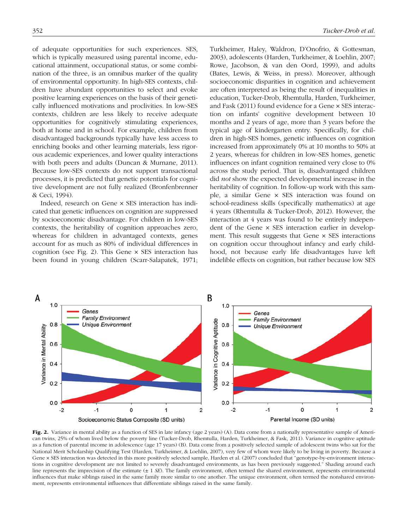of adequate opportunities for such experiences. SES, which is typically measured using parental income, educational attainment, occupational status, or some combination of the three, is an omnibus marker of the quality of environmental opportunity. In high-SES contexts, children have abundant opportunities to select and evoke positive learning experiences on the basis of their genetically influenced motivations and proclivities. In low-SES contexts, children are less likely to receive adequate opportunities for cognitively stimulating experiences, both at home and in school. For example, children from disadvantaged backgrounds typically have less access to enriching books and other learning materials, less rigorous academic experiences, and lower quality interactions with both peers and adults (Duncan & Murnane, 2011). Because low-SES contexts do not support transactional processes, it is predicted that genetic potentials for cognitive development are not fully realized (Bronfenbrenner & Ceci, 1994).

Indeed, research on Gene × SES interaction has indicated that genetic influences on cognition are suppressed by socioeconomic disadvantage. For children in low-SES contexts, the heritability of cognition approaches zero, whereas for children in advantaged contexts, genes account for as much as 80% of individual differences in cognition (see Fig. 2). This Gene  $\times$  SES interaction has been found in young children (Scarr-Salapatek, 1971; Turkheimer, Haley, Waldron, D'Onofrio, & Gottesman, 2003), adolescents (Harden, Turkheimer, & Loehlin, 2007; Rowe, Jacobson, & van den Oord, 1999), and adults (Bates, Lewis, & Weiss, in press). Moreover, although socioeconomic disparities in cognition and achievement are often interpreted as being the result of inequalities in education, Tucker-Drob, Rhemtulla, Harden, Turkheimer, and Fask (2011) found evidence for a Gene × SES interaction on infants' cognitive development between 10 months and 2 years of age, more than 3 years before the typical age of kindergarten entry. Specifically, for children in high-SES homes, genetic influences on cognition increased from approximately 0% at 10 months to 50% at 2 years, whereas for children in low-SES homes, genetic influences on infant cognition remained very close to 0% across the study period. That is, disadvantaged children did *not* show the expected developmental increase in the heritability of cognition. In follow-up work with this sample, a similar Gene × SES interaction was found on school-readiness skills (specifically mathematics) at age 4 years (Rhemtulla & Tucker-Drob, 2012). However, the interaction at 4 years was found to be entirely independent of the Gene × SES interaction earlier in development. This result suggests that Gene  $\times$  SES interactions on cognition occur throughout infancy and early childhood, not because early life disadvantages have left indelible effects on cognition, but rather because low SES



Fig. 2. Variance in mental ability as a function of SES in late infancy (age 2 years) (A). Data come from a nationally representative sample of American twins, 25% of whom lived below the poverty line (Tucker-Drob, Rhemtulla, Harden, Turkheimer, & Fask, 2011). Variance in cognitive aptitude as a function of parental income in adolescence (age 17 years) (B). Data come from a positively selected sample of adolescent twins who sat for the National Merit Scholarship Qualifying Test (Harden, Turkheimer, & Loehlin, 2007), very few of whom were likely to be living in poverty. Because a Gene × SES interaction was detected in this more positively selected sample, Harden et al. (2007) concluded that "genotype-by-environment interactions in cognitive development are not limited to severely disadvantaged environments, as has been previously suggested." Shading around each line represents the imprecision of the estimate (± 1 *SE*). The family environment, often termed the shared environment, represents environmental influences that make siblings raised in the same family more similar to one another. The unique environment, often termed the nonshared environment, represents environmental influences that differentiate siblings raised in the same family.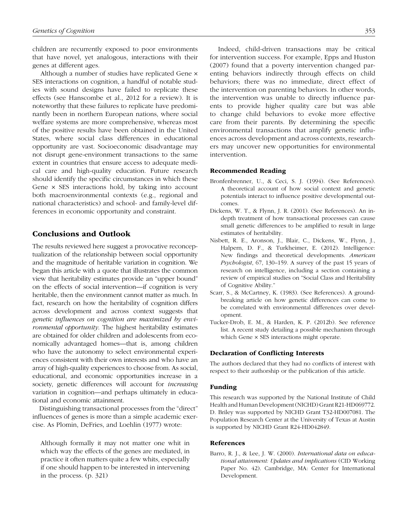children are recurrently exposed to poor environments that have novel, yet analogous, interactions with their genes at different ages.

Although a number of studies have replicated Gene × SES interactions on cognition, a handful of notable studies with sound designs have failed to replicate these effects (see Hanscombe et al., 2012 for a review). It is noteworthy that these failures to replicate have predominantly been in northern European nations, where social welfare systems are more comprehensive, whereas most of the positive results have been obtained in the United States, where social class differences in educational opportunity are vast. Socioeconomic disadvantage may not disrupt gene-environment transactions to the same extent in countries that ensure access to adequate medical care and high-quality education. Future research should identify the specific circumstances in which these Gene  $\times$  SES interactions hold, by taking into account both macroenvironmental contexts (e.g., regional and national characteristics) and school- and family-level differences in economic opportunity and constraint.

# Conclusions and Outlook

The results reviewed here suggest a provocative reconceptualization of the relationship between social opportunity and the magnitude of heritable variation in cognition. We began this article with a quote that illustrates the common view that heritability estimates provide an "upper bound" on the effects of social intervention—if cognition is very heritable, then the environment cannot matter as much. In fact, research on how the heritability of cognition differs across development and across context suggests that *genetic influences on cognition are maximized by environmental opportunity*. The highest heritability estimates are obtained for older children and adolescents from economically advantaged homes—that is, among children who have the autonomy to select environmental experiences consistent with their own interests and who have an array of high-quality experiences to choose from. As social, educational, and economic opportunities increase in a society, genetic differences will account for *increasing* variation in cognition—and perhaps ultimately in educational and economic attainment.

Distinguishing transactional processes from the "direct" influences of genes is more than a simple academic exercise. As Plomin, DeFries, and Loehlin (1977) wrote:

Although formally it may not matter one whit in which way the effects of the genes are mediated, in practice it often matters quite a few whits, especially if one should happen to be interested in intervening in the process. (p. 321)

Indeed, child-driven transactions may be critical for intervention success. For example, Epps and Huston (2007) found that a poverty intervention changed parenting behaviors indirectly through effects on child behaviors; there was no immediate, direct effect of the intervention on parenting behaviors. In other words, the intervention was unable to directly influence parents to provide higher quality care but was able to change child behaviors to evoke more effective care from their parents. By determining the specific environmental transactions that amplify genetic influences across development and across contexts, researchers may uncover new opportunities for environmental intervention.

### Recommended Reading

- Bronfenbrenner, U., & Ceci, S. J. (1994). (See References). A theoretical account of how social context and genetic potentials interact to influence positive developmental outcomes.
- Dickens, W. T., & Flynn, J. R. (2001). (See References). An indepth treatment of how transactional processes can cause small genetic differences to be amplified to result in large estimates of heritability.
- Nisbett, R. E., Aronson, J., Blair, C., Dickens, W., Flynn, J., Halpern, D. F., & Turkheimer, E. (2012). Intelligence: New findings and theoretical developments. *American Psychologist*, 67, 130–159. A survey of the past 15 years of research on intelligence, including a section containing a review of empirical studies on "Social Class and Heritability of Cognitive Ability."
- Scarr, S., & McCartney, K. (1983). (See References). A groundbreaking article on how genetic differences can come to be correlated with environmental differences over development.
- Tucker-Drob, E. M., & Harden, K. P. (2012b). See reference list. A recent study detailing a possible mechanism through which Gene  $\times$  SES interactions might operate.

#### Declaration of Conflicting Interests

The authors declared that they had no conflicts of interest with respect to their authorship or the publication of this article.

#### Funding

This research was supported by the National Institute of Child Health and Human Development (NICHD) Grant R21-HD069772. D. Briley was supported by NICHD Grant T32-HD007081. The Population Research Center at the University of Texas at Austin is supported by NICHD Grant R24-HD042849.

## References

Barro, R. J., & Lee, J. W. (2000). *International data on educational attainment: Updates and implications* (CID Working Paper No. 42). Cambridge, MA: Center for International Development.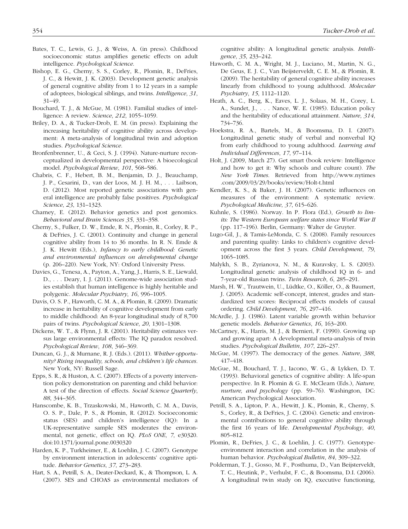- Bates, T. C., Lewis, G. J., & Weiss, A. (in press). Childhood socioeconomic status amplifies genetic effects on adult intelligence. *Psychological Science*.
- Bishop, E. G., Cherny, S. S., Corley, R., Plomin, R., DeFries, J. C., & Hewitt, J. K. (2003). Development genetic analysis of general cognitive ability from 1 to 12 years in a sample of adoptees, biological siblings, and twins. *Intelligence*, *31*, 31–49.
- Bouchard, T. J., & McGue, M. (1981). Familial studies of intelligence: A review. *Science*, *212*, 1055–1059.
- Briley, D. A., & Tucker-Drob, E. M. (in press). Explaining the increasing heritability of cognitive ability across development: A meta-analysis of longitudinal twin and adoption studies. *Psychological Science*.
- Bronfenbrenner, U., & Ceci, S. J. (1994). Nature-nurture reconceptualized in developmental perspective: A bioecological model. *Psychological Review*, *101*, 568–586.
- Chabris, C. F., Hebert, B. M., Benjamin, D. J., Beauchamp, J. P., Cesarini, D., van der Loos, M. J. H. M., . . . Laibson, D. (2012). Most reported genetic associations with general intelligence are probably false positives. *Psychological Science*, *23*, 131–1323.
- Charney, E. (2012). Behavior genetics and post genomics. *Behavioral and Brain Sciences 35*, 331–358.
- Cherny, S., Fulker, D. W., Emde, R. N., Plomin, R., Corley, R. P., & DeFries, J. C. (2001). Continuity and change in general cognitive ability from 14 to 36 months. In R. N. Emde & J. K. Hewitt (Eds.), *Infancy to early childhood: Genetic and environmental influences on developmental change* (p. 206–220). New York, NY: Oxford University Press.
- Davies, G., Tenesa, A., Payton, A., Yang, J., Harris, S. E., Liewald, D., . . . Deary, I. J. (2011). Genome-wide association studies establish that human intelligence is highly heritable and polygenic. *Molecular Psychiatry*, *16*, 996–1005.
- Davis, O. S. P., Haworth, C. M. A., & Plomin, R. (2009). Dramatic increase in heritability of cognitive development from early to middle childhood: An 8-year longitudinal study of 8,700 pairs of twins. *Psychological Science*, *20*, 1301–1308.
- Dickens, W. T., & Flynn, J. R. (2001). Heritability estimates versus large environmental effects: The IQ paradox resolved. *Psychological Review*, *108*, 346–369.
- Duncan, G. J., & Murnane, R. J. (Eds.). (2011). *Whither opportunity? Rising inequality, schools, and children's life chances*. New York, NY: Russell Sage.
- Epps, S. R., & Huston, A. C. (2007). Effects of a poverty intervention policy demonstration on parenting and child behavior: A test of the direction of effects. *Social Science Quarterly*, *88*, 344–365.
- Hanscombe, K. B., Trzaskowski, M., Haworth, C. M. A., Davis, O. S. P., Dale, P. S., & Plomin, R. (2012). Socioeconomic status (SES) and children's intelligence (IQ): In a UK-representative sample SES moderates the environmental, not genetic, effect on IQ. *PLoS ONE*, *7*, e30320. doi:10.1371/journal.pone.0030320
- Harden, K. P., Turkheimer, E., & Loehlin, J. C. (2007). Genotype by environment interaction in adolescents' cognitive aptitude. *Behavior Genetics*, *37*, 273–283.
- Hart, S. A., Petrill, S. A., Deater-Deckard, K., & Thompson, L. A. (2007). SES and CHOAS as environmental mediators of

cognitive ability: A longitudinal genetic analysis. *Intelligence*, *35*, 233–242.

- Haworth, C. M. A., Wright, M. J., Luciano, M., Martin, N. G., De Geus, E. J. C., Van Beijsterveldt, C. E. M., & Plomin, R. (2009). The heritability of general cognitive ability increases linearly from childhood to young adulthood. *Molecular Psychiatry*, *15*, 1112–1120.
- Heath, A. C., Berg, K., Eaves, L. J., Solaas, M. H., Corey, L. A., Sundet, J., . . . Nance, W. E. (1985). Education policy and the heritability of educational attainment. *Nature*, *314*, 734–736.
- Hoekstra, R. A., Bartels, M., & Boomsma, D. I. (2007). Longitudinal genetic study of verbal and nonverbal IQ from early childhood to young adulthood. *Learning and Individual Differences*, *17*, 97–114.
- Holt, J. (2009, March 27). Get smart (book review: Intelligence and how to get it: Why schools and culture count). *The New York Times*. Retrieved from http://www.nytimes [.com/2009/03/29/books/review/Holt-t.html](http://www.nytimes.com/2009/03/29/books/review/Holt-t.html)
- Kendler, K. S., & Baker, J. H. (2007). Genetic influences on measures of the environment: A systematic review. *Psychological Medicine*, *37*, 615–626.
- Kuhnle, S. (1986). Norway. In P. Flora (Ed.), *Growth to limits: The Western European welfare states since World War II* (pp. 117–196). Berlin, Germany: Walter de Gruyter.
- Lugo-Gil, J., & Tamis-LeMonda, C. S. (2008). Family resources and parenting quality: Links to children's cognitive development across the first 3 years. *Child Development*, *79*, 1065–1085.
- Malykh, S. B., Zyrianova, N. M., & Kuravsky, L. S. (2003). Longitudinal genetic analysis of childhood IQ in 6- and 7-year-old Russian twins. *Twin Research*, *6*, 285–291.
- Marsh, H. W., Trautwein, U., Lüdtke, O., Köller, O., & Baumert, J. (2005). Academic self-concept, interest, grades and standardized test scores: Reciprocal effects models of causal ordering. *Child Development*, *76*, 297–416.
- McArdle, J. J. (1986). Latent variable growth within behavior genetic models. *Behavior Genetics*, *16*, 163–200.
- McCartney, K., Harris, M. J., & Bernieri, F. (1990). Growing up and growing apart: A developmental meta-analysis of twin studies. *Psychological Bulletin*, *107*, 226–237.
- McGue, M. (1997). The democracy of the genes. *Nature*, *388*, 417–418.
- McGue, M., Bouchard, T. J., Iacono, W. G., & Lykken, D. T. (1993). Behavioral genetics of cognitive ability: A life-span perspective. In R. Plomin & G. E. McClearn (Eds.), *Nature, nurture, and psychology* (pp. 59–76). Washington, DC: American Psychological Association.
- Petrill, S. A., Lipton, P. A., Hewitt, J. K., Plomin, R., Cherny, S. S., Corley, R., & DeFries, J. C. (2004). Genetic and environmental contributions to general cognitive ability through the first 16 years of life. *Developmental Psychology*, *40*, 805–812.
- Plomin, R., DeFries, J. C., & Loehlin, J. C. (1977). Genotypeenvironment interaction and correlation in the analysis of human behavior. *Psychological Bulletin*, *84*, 309–322.
- Polderman, T. J., Gosso, M. F., Posthuma, D., Van Beijsterveldt, T. C., Heutink, P., Verhulst, F. C., & Boomsma, D.I. (2006). A longitudinal twin study on IQ, executive functioning,